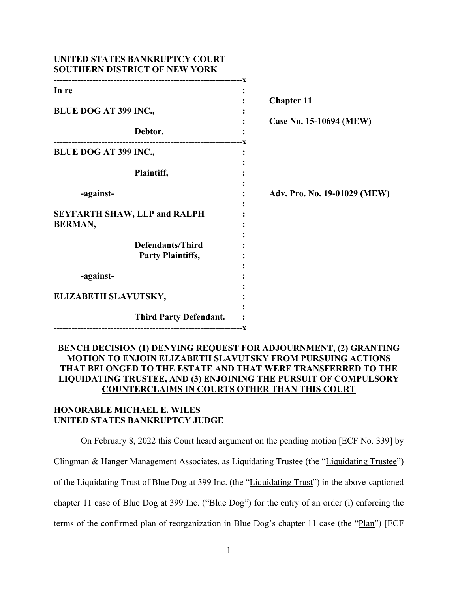| UNITED STATES BANKRUPTCY COURT<br><b>SOUTHERN DISTRICT OF NEW YORK</b> |                              |
|------------------------------------------------------------------------|------------------------------|
| In re                                                                  | <b>Chapter 11</b>            |
| <b>BLUE DOG AT 399 INC.,</b>                                           |                              |
| Debtor.                                                                | Case No. 15-10694 (MEW)      |
| BLUE DOG AT 399 INC.,                                                  |                              |
| Plaintiff,                                                             |                              |
| -against-                                                              | Adv. Pro. No. 19-01029 (MEW) |
| <b>SEYFARTH SHAW, LLP and RALPH</b><br><b>BERMAN,</b>                  |                              |
| <b>Defendants/Third</b><br><b>Party Plaintiffs,</b>                    |                              |
| -against-                                                              |                              |
| ELIZABETH SLAVUTSKY,                                                   |                              |
| <b>Third Party Defendant.</b>                                          |                              |

## **BENCH DECISION (1) DENYING REQUEST FOR ADJOURNMENT, (2) GRANTING MOTION TO ENJOIN ELIZABETH SLAVUTSKY FROM PURSUING ACTIONS THAT BELONGED TO THE ESTATE AND THAT WERE TRANSFERRED TO THE LIQUIDATING TRUSTEE, AND (3) ENJOINING THE PURSUIT OF COMPULSORY COUNTERCLAIMS IN COURTS OTHER THAN THIS COURT**

## **HONORABLE MICHAEL E. WILES UNITED STATES BANKRUPTCY JUDGE**

On February 8, 2022 this Court heard argument on the pending motion [ECF No. 339] by Clingman & Hanger Management Associates, as Liquidating Trustee (the "Liquidating Trustee") of the Liquidating Trust of Blue Dog at 399 Inc. (the "Liquidating Trust") in the above-captioned chapter 11 case of Blue Dog at 399 Inc. ("Blue Dog") for the entry of an order (i) enforcing the terms of the confirmed plan of reorganization in Blue Dog's chapter 11 case (the "Plan") [ECF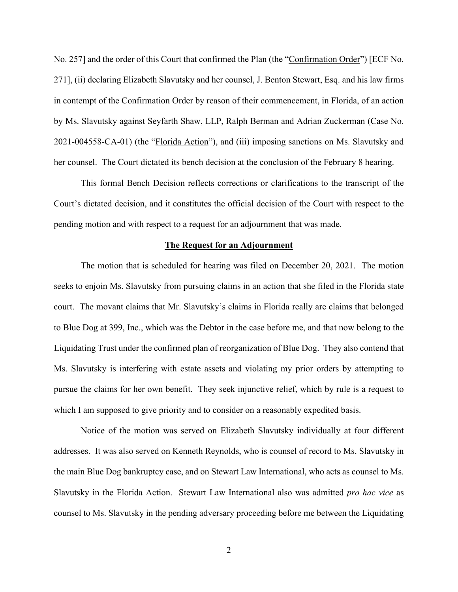No. 257] and the order of this Court that confirmed the Plan (the "Confirmation Order") [ECF No. 271], (ii) declaring Elizabeth Slavutsky and her counsel, J. Benton Stewart, Esq. and his law firms in contempt of the Confirmation Order by reason of their commencement, in Florida, of an action by Ms. Slavutsky against Seyfarth Shaw, LLP, Ralph Berman and Adrian Zuckerman (Case No. 2021-004558-CA-01) (the "Florida Action"), and (iii) imposing sanctions on Ms. Slavutsky and her counsel. The Court dictated its bench decision at the conclusion of the February 8 hearing.

This formal Bench Decision reflects corrections or clarifications to the transcript of the Court's dictated decision, and it constitutes the official decision of the Court with respect to the pending motion and with respect to a request for an adjournment that was made.

## **The Request for an Adjournment**

The motion that is scheduled for hearing was filed on December 20, 2021. The motion seeks to enjoin Ms. Slavutsky from pursuing claims in an action that she filed in the Florida state court. The movant claims that Mr. Slavutsky's claims in Florida really are claims that belonged to Blue Dog at 399, Inc., which was the Debtor in the case before me, and that now belong to the Liquidating Trust under the confirmed plan of reorganization of Blue Dog. They also contend that Ms. Slavutsky is interfering with estate assets and violating my prior orders by attempting to pursue the claims for her own benefit. They seek injunctive relief, which by rule is a request to which I am supposed to give priority and to consider on a reasonably expedited basis.

Notice of the motion was served on Elizabeth Slavutsky individually at four different addresses. It was also served on Kenneth Reynolds, who is counsel of record to Ms. Slavutsky in the main Blue Dog bankruptcy case, and on Stewart Law International, who acts as counsel to Ms. Slavutsky in the Florida Action. Stewart Law International also was admitted *pro hac vice* as counsel to Ms. Slavutsky in the pending adversary proceeding before me between the Liquidating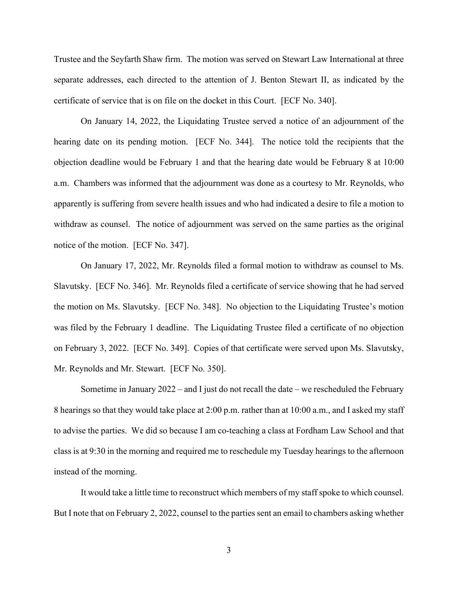Trustee and the Seyfarth Shaw firm. The motion was served on Stewart Law International at three separate addresses, each directed to the attention of J. Benton Stewart II, as indicated by the certificate of service that is on file on the docket in this Court. [ECF No. 340].

On January 14, 2022, the Liquidating Trustee served a notice of an adjournment of the hearing date on its pending motion. [ECF No. 344]. The notice told the recipients that the objection deadline would be February 1 and that the hearing date would be February 8 at 10:00 a.m. Chambers was informed that the adjournment was done as a courtesy to Mr. Reynolds, who apparently is suffering from severe health issues and who had indicated a desire to file a motion to withdraw as counsel. The notice of adjournment was served on the same parties as the original notice of the motion. [ECF No. 347].

On January 17, 2022, Mr. Reynolds filed a formal motion to withdraw as counsel to Ms. Slavutsky. [ECF No. 346]. Mr. Reynolds filed a certificate of service showing that he had served the motion on Ms. Slavutsky. [ECF No. 348]. No objection to the Liquidating Trustee's motion was filed by the February 1 deadline. The Liquidating Trustee filed a certificate of no objection on February 3, 2022. [ECF No. 349]. Copies of that certificate were served upon Ms. Slavutsky, Mr. Reynolds and Mr. Stewart. [ECF No. 350].

Sometime in January 2022 – and I just do not recall the date – we rescheduled the February 8 hearings so that they would take place at 2:00 p.m. rather than at 10:00 a.m., and I asked my staff to advise the parties. We did so because I am co-teaching a class at Fordham Law School and that class is at 9:30 in the morning and required me to reschedule my Tuesday hearings to the afternoon instead of the morning.

It would take a little time to reconstruct which members of my staff spoke to which counsel. But I note that on February 2, 2022, counsel to the parties sent an email to chambers asking whether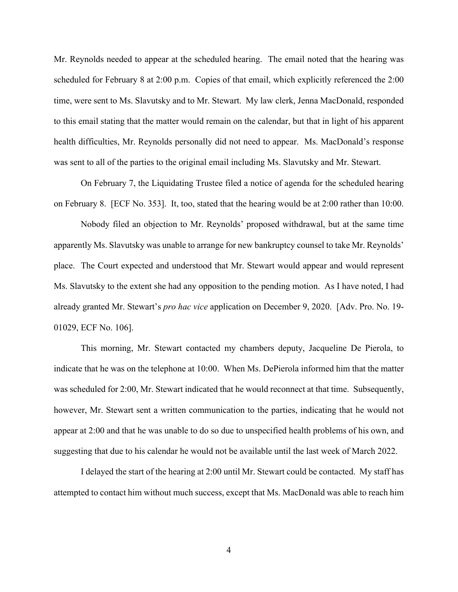Mr. Reynolds needed to appear at the scheduled hearing. The email noted that the hearing was scheduled for February 8 at 2:00 p.m. Copies of that email, which explicitly referenced the 2:00 time, were sent to Ms. Slavutsky and to Mr. Stewart. My law clerk, Jenna MacDonald, responded to this email stating that the matter would remain on the calendar, but that in light of his apparent health difficulties, Mr. Reynolds personally did not need to appear. Ms. MacDonald's response was sent to all of the parties to the original email including Ms. Slavutsky and Mr. Stewart.

On February 7, the Liquidating Trustee filed a notice of agenda for the scheduled hearing on February 8. [ECF No. 353]. It, too, stated that the hearing would be at 2:00 rather than 10:00.

Nobody filed an objection to Mr. Reynolds' proposed withdrawal, but at the same time apparently Ms. Slavutsky was unable to arrange for new bankruptcy counsel to take Mr. Reynolds' place. The Court expected and understood that Mr. Stewart would appear and would represent Ms. Slavutsky to the extent she had any opposition to the pending motion. As I have noted, I had already granted Mr. Stewart's *pro hac vice* application on December 9, 2020. [Adv. Pro. No. 19- 01029, ECF No. 106].

This morning, Mr. Stewart contacted my chambers deputy, Jacqueline De Pierola, to indicate that he was on the telephone at 10:00. When Ms. DePierola informed him that the matter was scheduled for 2:00, Mr. Stewart indicated that he would reconnect at that time. Subsequently, however, Mr. Stewart sent a written communication to the parties, indicating that he would not appear at 2:00 and that he was unable to do so due to unspecified health problems of his own, and suggesting that due to his calendar he would not be available until the last week of March 2022.

I delayed the start of the hearing at 2:00 until Mr. Stewart could be contacted. My staff has attempted to contact him without much success, except that Ms. MacDonald was able to reach him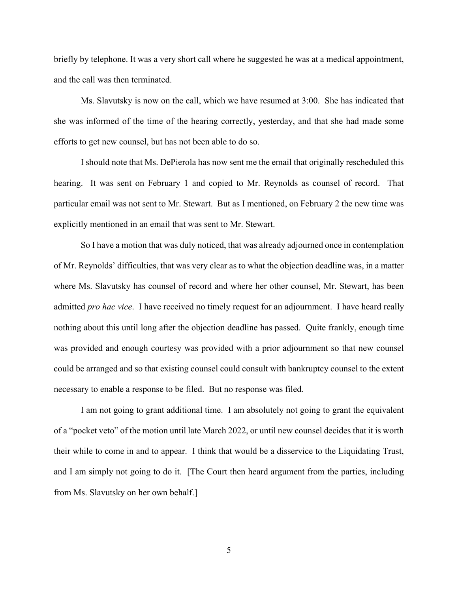briefly by telephone. It was a very short call where he suggested he was at a medical appointment, and the call was then terminated.

Ms. Slavutsky is now on the call, which we have resumed at 3:00. She has indicated that she was informed of the time of the hearing correctly, yesterday, and that she had made some efforts to get new counsel, but has not been able to do so.

I should note that Ms. DePierola has now sent me the email that originally rescheduled this hearing. It was sent on February 1 and copied to Mr. Reynolds as counsel of record. That particular email was not sent to Mr. Stewart. But as I mentioned, on February 2 the new time was explicitly mentioned in an email that was sent to Mr. Stewart.

So I have a motion that was duly noticed, that was already adjourned once in contemplation of Mr. Reynolds' difficulties, that was very clear as to what the objection deadline was, in a matter where Ms. Slavutsky has counsel of record and where her other counsel, Mr. Stewart, has been admitted *pro hac vice*. I have received no timely request for an adjournment. I have heard really nothing about this until long after the objection deadline has passed. Quite frankly, enough time was provided and enough courtesy was provided with a prior adjournment so that new counsel could be arranged and so that existing counsel could consult with bankruptcy counsel to the extent necessary to enable a response to be filed. But no response was filed.

I am not going to grant additional time. I am absolutely not going to grant the equivalent of a "pocket veto" of the motion until late March 2022, or until new counsel decides that it is worth their while to come in and to appear. I think that would be a disservice to the Liquidating Trust, and I am simply not going to do it. [The Court then heard argument from the parties, including from Ms. Slavutsky on her own behalf.]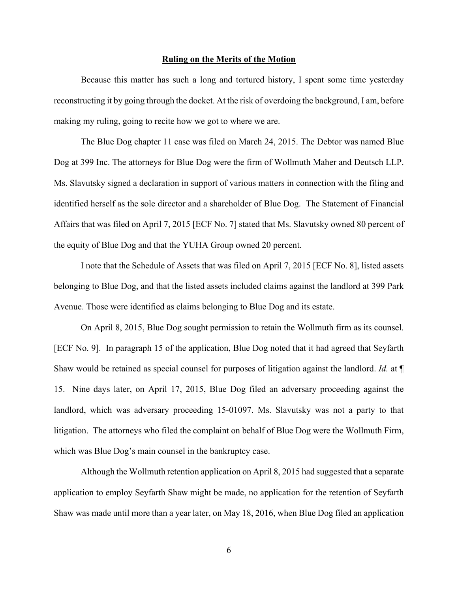## **Ruling on the Merits of the Motion**

Because this matter has such a long and tortured history, I spent some time yesterday reconstructing it by going through the docket. At the risk of overdoing the background, I am, before making my ruling, going to recite how we got to where we are.

The Blue Dog chapter 11 case was filed on March 24, 2015. The Debtor was named Blue Dog at 399 Inc. The attorneys for Blue Dog were the firm of Wollmuth Maher and Deutsch LLP. Ms. Slavutsky signed a declaration in support of various matters in connection with the filing and identified herself as the sole director and a shareholder of Blue Dog. The Statement of Financial Affairs that was filed on April 7, 2015 [ECF No. 7] stated that Ms. Slavutsky owned 80 percent of the equity of Blue Dog and that the YUHA Group owned 20 percent.

I note that the Schedule of Assets that was filed on April 7, 2015 [ECF No. 8], listed assets belonging to Blue Dog, and that the listed assets included claims against the landlord at 399 Park Avenue. Those were identified as claims belonging to Blue Dog and its estate.

On April 8, 2015, Blue Dog sought permission to retain the Wollmuth firm as its counsel. [ECF No. 9]. In paragraph 15 of the application, Blue Dog noted that it had agreed that Seyfarth Shaw would be retained as special counsel for purposes of litigation against the landlord. *Id.* at ¶ 15. Nine days later, on April 17, 2015, Blue Dog filed an adversary proceeding against the landlord, which was adversary proceeding 15-01097. Ms. Slavutsky was not a party to that litigation. The attorneys who filed the complaint on behalf of Blue Dog were the Wollmuth Firm, which was Blue Dog's main counsel in the bankruptcy case.

Although the Wollmuth retention application on April 8, 2015 had suggested that a separate application to employ Seyfarth Shaw might be made, no application for the retention of Seyfarth Shaw was made until more than a year later, on May 18, 2016, when Blue Dog filed an application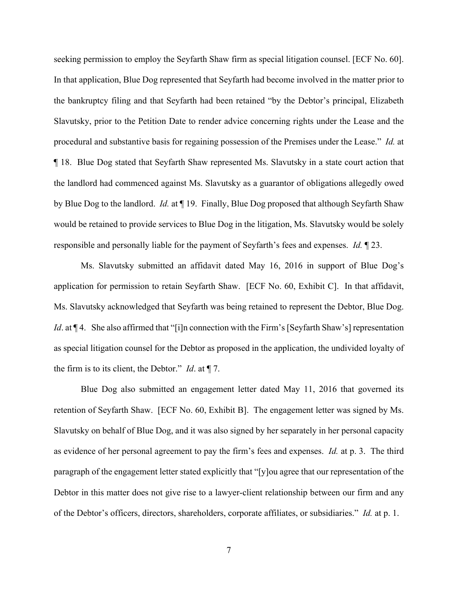seeking permission to employ the Seyfarth Shaw firm as special litigation counsel. [ECF No. 60]. In that application, Blue Dog represented that Seyfarth had become involved in the matter prior to the bankruptcy filing and that Seyfarth had been retained "by the Debtor's principal, Elizabeth Slavutsky, prior to the Petition Date to render advice concerning rights under the Lease and the procedural and substantive basis for regaining possession of the Premises under the Lease." *Id.* at ¶ 18.Blue Dog stated that Seyfarth Shaw represented Ms. Slavutsky in a state court action that the landlord had commenced against Ms. Slavutsky as a guarantor of obligations allegedly owed by Blue Dog to the landlord. *Id.* at ¶ 19. Finally, Blue Dog proposed that although Seyfarth Shaw would be retained to provide services to Blue Dog in the litigation, Ms. Slavutsky would be solely responsible and personally liable for the payment of Seyfarth's fees and expenses. *Id.* ¶ 23.

Ms. Slavutsky submitted an affidavit dated May 16, 2016 in support of Blue Dog's application for permission to retain Seyfarth Shaw. [ECF No. 60, Exhibit C]. In that affidavit, Ms. Slavutsky acknowledged that Seyfarth was being retained to represent the Debtor, Blue Dog. *Id*. at  $\P$ 4. She also affirmed that "[i]n connection with the Firm's [Seyfarth Shaw's] representation as special litigation counsel for the Debtor as proposed in the application, the undivided loyalty of the firm is to its client, the Debtor." *Id*. at ¶ 7.

Blue Dog also submitted an engagement letter dated May 11, 2016 that governed its retention of Seyfarth Shaw. [ECF No. 60, Exhibit B]. The engagement letter was signed by Ms. Slavutsky on behalf of Blue Dog, and it was also signed by her separately in her personal capacity as evidence of her personal agreement to pay the firm's fees and expenses. *Id.* at p. 3. The third paragraph of the engagement letter stated explicitly that "[y]ou agree that our representation of the Debtor in this matter does not give rise to a lawyer-client relationship between our firm and any of the Debtor's officers, directors, shareholders, corporate affiliates, or subsidiaries." *Id.* at p. 1.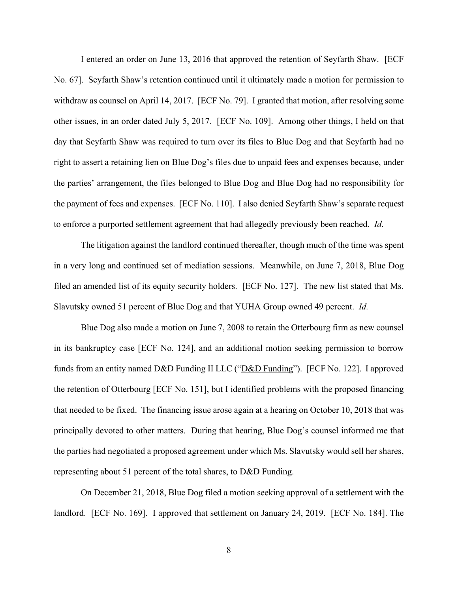I entered an order on June 13, 2016 that approved the retention of Seyfarth Shaw. [ECF No. 67]. Seyfarth Shaw's retention continued until it ultimately made a motion for permission to withdraw as counsel on April 14, 2017. [ECF No. 79]. I granted that motion, after resolving some other issues, in an order dated July 5, 2017. [ECF No. 109]. Among other things, I held on that day that Seyfarth Shaw was required to turn over its files to Blue Dog and that Seyfarth had no right to assert a retaining lien on Blue Dog's files due to unpaid fees and expenses because, under the parties' arrangement, the files belonged to Blue Dog and Blue Dog had no responsibility for the payment of fees and expenses. [ECF No. 110]. I also denied Seyfarth Shaw's separate request to enforce a purported settlement agreement that had allegedly previously been reached. *Id.*

The litigation against the landlord continued thereafter, though much of the time was spent in a very long and continued set of mediation sessions. Meanwhile, on June 7, 2018, Blue Dog filed an amended list of its equity security holders. [ECF No. 127]. The new list stated that Ms. Slavutsky owned 51 percent of Blue Dog and that YUHA Group owned 49 percent. *Id.* 

Blue Dog also made a motion on June 7, 2008 to retain the Otterbourg firm as new counsel in its bankruptcy case [ECF No. 124], and an additional motion seeking permission to borrow funds from an entity named D&D Funding II LLC ("D&D Funding"). [ECF No. 122]. I approved the retention of Otterbourg [ECF No. 151], but I identified problems with the proposed financing that needed to be fixed. The financing issue arose again at a hearing on October 10, 2018 that was principally devoted to other matters. During that hearing, Blue Dog's counsel informed me that the parties had negotiated a proposed agreement under which Ms. Slavutsky would sell her shares, representing about 51 percent of the total shares, to D&D Funding.

On December 21, 2018, Blue Dog filed a motion seeking approval of a settlement with the landlord. [ECF No. 169]. I approved that settlement on January 24, 2019. [ECF No. 184]. The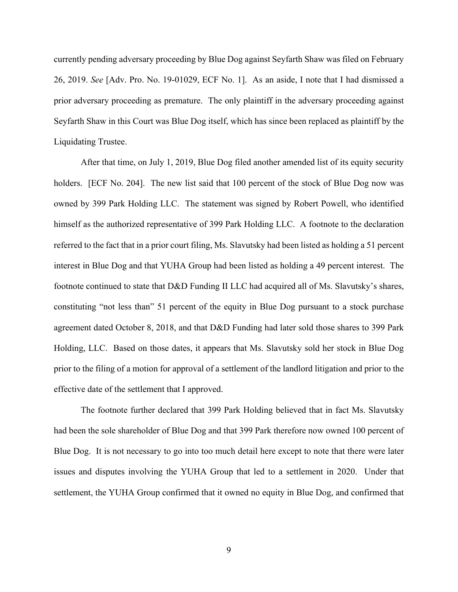currently pending adversary proceeding by Blue Dog against Seyfarth Shaw was filed on February 26, 2019. *See* [Adv. Pro. No. 19-01029, ECF No. 1]. As an aside, I note that I had dismissed a prior adversary proceeding as premature. The only plaintiff in the adversary proceeding against Seyfarth Shaw in this Court was Blue Dog itself, which has since been replaced as plaintiff by the Liquidating Trustee.

After that time, on July 1, 2019, Blue Dog filed another amended list of its equity security holders. [ECF No. 204]. The new list said that 100 percent of the stock of Blue Dog now was owned by 399 Park Holding LLC. The statement was signed by Robert Powell, who identified himself as the authorized representative of 399 Park Holding LLC. A footnote to the declaration referred to the fact that in a prior court filing, Ms. Slavutsky had been listed as holding a 51 percent interest in Blue Dog and that YUHA Group had been listed as holding a 49 percent interest. The footnote continued to state that D&D Funding II LLC had acquired all of Ms. Slavutsky's shares, constituting "not less than" 51 percent of the equity in Blue Dog pursuant to a stock purchase agreement dated October 8, 2018, and that D&D Funding had later sold those shares to 399 Park Holding, LLC. Based on those dates, it appears that Ms. Slavutsky sold her stock in Blue Dog prior to the filing of a motion for approval of a settlement of the landlord litigation and prior to the effective date of the settlement that I approved.

The footnote further declared that 399 Park Holding believed that in fact Ms. Slavutsky had been the sole shareholder of Blue Dog and that 399 Park therefore now owned 100 percent of Blue Dog. It is not necessary to go into too much detail here except to note that there were later issues and disputes involving the YUHA Group that led to a settlement in 2020. Under that settlement, the YUHA Group confirmed that it owned no equity in Blue Dog, and confirmed that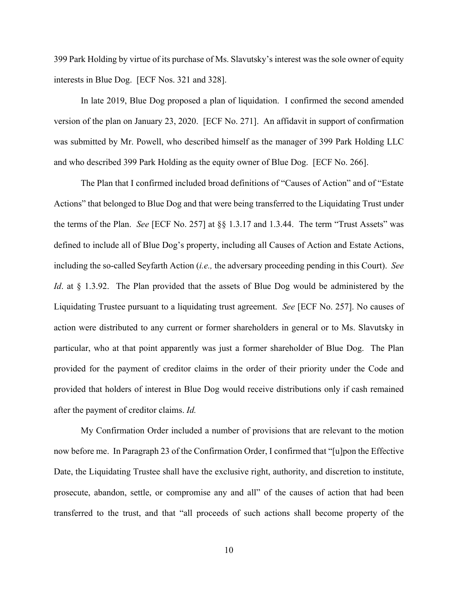399 Park Holding by virtue of its purchase of Ms. Slavutsky's interest was the sole owner of equity interests in Blue Dog. [ECF Nos. 321 and 328].

In late 2019, Blue Dog proposed a plan of liquidation. I confirmed the second amended version of the plan on January 23, 2020. [ECF No. 271]. An affidavit in support of confirmation was submitted by Mr. Powell, who described himself as the manager of 399 Park Holding LLC and who described 399 Park Holding as the equity owner of Blue Dog. [ECF No. 266].

The Plan that I confirmed included broad definitions of "Causes of Action" and of "Estate Actions" that belonged to Blue Dog and that were being transferred to the Liquidating Trust under the terms of the Plan. *See* [ECF No. 257] at §§ 1.3.17 and 1.3.44. The term "Trust Assets" was defined to include all of Blue Dog's property, including all Causes of Action and Estate Actions, including the so-called Seyfarth Action (*i.e.,* the adversary proceeding pending in this Court). *See Id.* at § 1.3.92. The Plan provided that the assets of Blue Dog would be administered by the Liquidating Trustee pursuant to a liquidating trust agreement. *See* [ECF No. 257]. No causes of action were distributed to any current or former shareholders in general or to Ms. Slavutsky in particular, who at that point apparently was just a former shareholder of Blue Dog. The Plan provided for the payment of creditor claims in the order of their priority under the Code and provided that holders of interest in Blue Dog would receive distributions only if cash remained after the payment of creditor claims. *Id.* 

My Confirmation Order included a number of provisions that are relevant to the motion now before me. In Paragraph 23 of the Confirmation Order, I confirmed that "[u]pon the Effective Date, the Liquidating Trustee shall have the exclusive right, authority, and discretion to institute, prosecute, abandon, settle, or compromise any and all" of the causes of action that had been transferred to the trust, and that "all proceeds of such actions shall become property of the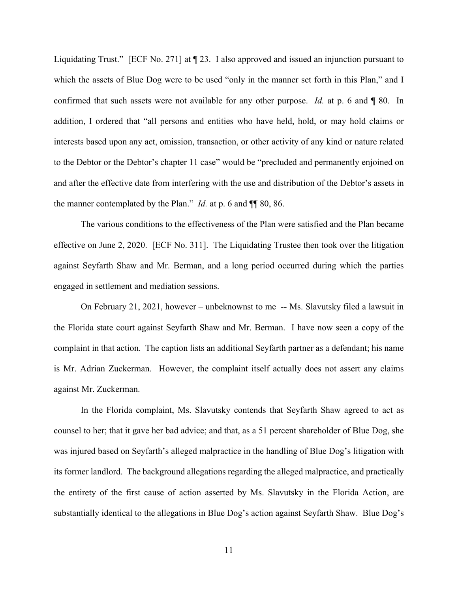Liquidating Trust." [ECF No. 271] at ¶ 23. I also approved and issued an injunction pursuant to which the assets of Blue Dog were to be used "only in the manner set forth in this Plan," and I confirmed that such assets were not available for any other purpose. *Id.* at p. 6 and ¶ 80. In addition, I ordered that "all persons and entities who have held, hold, or may hold claims or interests based upon any act, omission, transaction, or other activity of any kind or nature related to the Debtor or the Debtor's chapter 11 case" would be "precluded and permanently enjoined on and after the effective date from interfering with the use and distribution of the Debtor's assets in the manner contemplated by the Plan." *Id.* at p. 6 and ¶¶ 80, 86.

The various conditions to the effectiveness of the Plan were satisfied and the Plan became effective on June 2, 2020. [ECF No. 311]. The Liquidating Trustee then took over the litigation against Seyfarth Shaw and Mr. Berman, and a long period occurred during which the parties engaged in settlement and mediation sessions.

On February 21, 2021, however – unbeknownst to me -- Ms. Slavutsky filed a lawsuit in the Florida state court against Seyfarth Shaw and Mr. Berman. I have now seen a copy of the complaint in that action. The caption lists an additional Seyfarth partner as a defendant; his name is Mr. Adrian Zuckerman. However, the complaint itself actually does not assert any claims against Mr. Zuckerman.

In the Florida complaint, Ms. Slavutsky contends that Seyfarth Shaw agreed to act as counsel to her; that it gave her bad advice; and that, as a 51 percent shareholder of Blue Dog, she was injured based on Seyfarth's alleged malpractice in the handling of Blue Dog's litigation with its former landlord. The background allegations regarding the alleged malpractice, and practically the entirety of the first cause of action asserted by Ms. Slavutsky in the Florida Action, are substantially identical to the allegations in Blue Dog's action against Seyfarth Shaw. Blue Dog's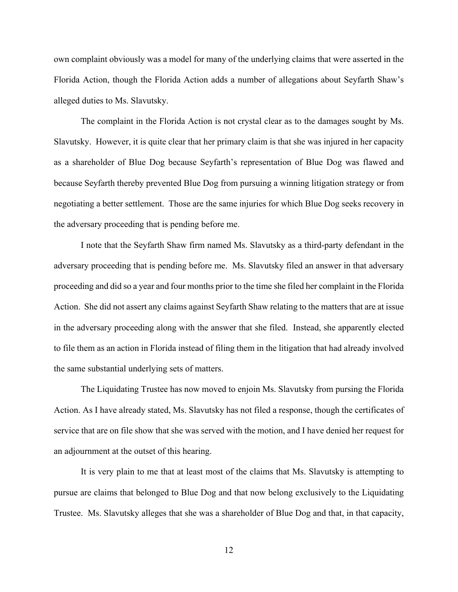own complaint obviously was a model for many of the underlying claims that were asserted in the Florida Action, though the Florida Action adds a number of allegations about Seyfarth Shaw's alleged duties to Ms. Slavutsky.

The complaint in the Florida Action is not crystal clear as to the damages sought by Ms. Slavutsky. However, it is quite clear that her primary claim is that she was injured in her capacity as a shareholder of Blue Dog because Seyfarth's representation of Blue Dog was flawed and because Seyfarth thereby prevented Blue Dog from pursuing a winning litigation strategy or from negotiating a better settlement. Those are the same injuries for which Blue Dog seeks recovery in the adversary proceeding that is pending before me.

I note that the Seyfarth Shaw firm named Ms. Slavutsky as a third-party defendant in the adversary proceeding that is pending before me. Ms. Slavutsky filed an answer in that adversary proceeding and did so a year and four months prior to the time she filed her complaint in the Florida Action. She did not assert any claims against Seyfarth Shaw relating to the matters that are at issue in the adversary proceeding along with the answer that she filed. Instead, she apparently elected to file them as an action in Florida instead of filing them in the litigation that had already involved the same substantial underlying sets of matters.

The Liquidating Trustee has now moved to enjoin Ms. Slavutsky from pursing the Florida Action. As I have already stated, Ms. Slavutsky has not filed a response, though the certificates of service that are on file show that she was served with the motion, and I have denied her request for an adjournment at the outset of this hearing.

It is very plain to me that at least most of the claims that Ms. Slavutsky is attempting to pursue are claims that belonged to Blue Dog and that now belong exclusively to the Liquidating Trustee. Ms. Slavutsky alleges that she was a shareholder of Blue Dog and that, in that capacity,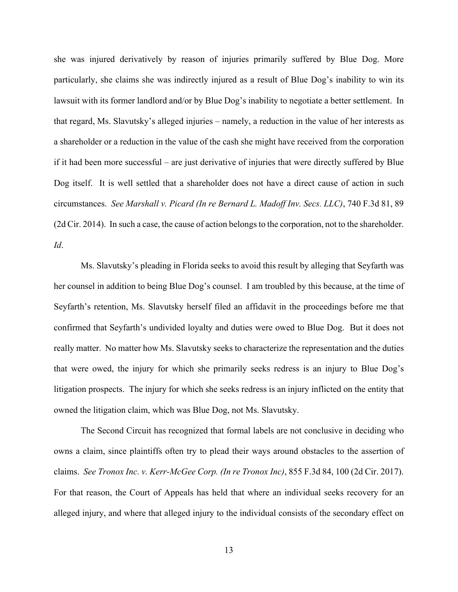she was injured derivatively by reason of injuries primarily suffered by Blue Dog. More particularly, she claims she was indirectly injured as a result of Blue Dog's inability to win its lawsuit with its former landlord and/or by Blue Dog's inability to negotiate a better settlement. In that regard, Ms. Slavutsky's alleged injuries – namely, a reduction in the value of her interests as a shareholder or a reduction in the value of the cash she might have received from the corporation if it had been more successful – are just derivative of injuries that were directly suffered by Blue Dog itself. It is well settled that a shareholder does not have a direct cause of action in such circumstances. *See Marshall v. Picard (In re Bernard L. Madoff Inv. Secs. LLC)*, 740 F.3d 81, 89 (2d Cir. 2014). In such a case, the cause of action belongs to the corporation, not to the shareholder. *Id*.

Ms. Slavutsky's pleading in Florida seeks to avoid this result by alleging that Seyfarth was her counsel in addition to being Blue Dog's counsel. I am troubled by this because, at the time of Seyfarth's retention, Ms. Slavutsky herself filed an affidavit in the proceedings before me that confirmed that Seyfarth's undivided loyalty and duties were owed to Blue Dog. But it does not really matter. No matter how Ms. Slavutsky seeks to characterize the representation and the duties that were owed, the injury for which she primarily seeks redress is an injury to Blue Dog's litigation prospects. The injury for which she seeks redress is an injury inflicted on the entity that owned the litigation claim, which was Blue Dog, not Ms. Slavutsky.

The Second Circuit has recognized that formal labels are not conclusive in deciding who owns a claim, since plaintiffs often try to plead their ways around obstacles to the assertion of claims. *See Tronox Inc. v. Kerr-McGee Corp. (In re Tronox Inc)*, 855 F.3d 84, 100 (2d Cir. 2017). For that reason, the Court of Appeals has held that where an individual seeks recovery for an alleged injury, and where that alleged injury to the individual consists of the secondary effect on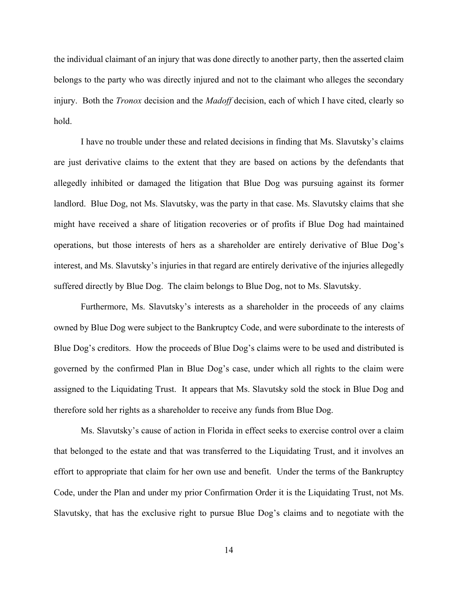the individual claimant of an injury that was done directly to another party, then the asserted claim belongs to the party who was directly injured and not to the claimant who alleges the secondary injury. Both the *Tronox* decision and the *Madoff* decision, each of which I have cited, clearly so hold.

I have no trouble under these and related decisions in finding that Ms. Slavutsky's claims are just derivative claims to the extent that they are based on actions by the defendants that allegedly inhibited or damaged the litigation that Blue Dog was pursuing against its former landlord. Blue Dog, not Ms. Slavutsky, was the party in that case. Ms. Slavutsky claims that she might have received a share of litigation recoveries or of profits if Blue Dog had maintained operations, but those interests of hers as a shareholder are entirely derivative of Blue Dog's interest, and Ms. Slavutsky's injuries in that regard are entirely derivative of the injuries allegedly suffered directly by Blue Dog. The claim belongs to Blue Dog, not to Ms. Slavutsky.

Furthermore, Ms. Slavutsky's interests as a shareholder in the proceeds of any claims owned by Blue Dog were subject to the Bankruptcy Code, and were subordinate to the interests of Blue Dog's creditors. How the proceeds of Blue Dog's claims were to be used and distributed is governed by the confirmed Plan in Blue Dog's case, under which all rights to the claim were assigned to the Liquidating Trust. It appears that Ms. Slavutsky sold the stock in Blue Dog and therefore sold her rights as a shareholder to receive any funds from Blue Dog.

Ms. Slavutsky's cause of action in Florida in effect seeks to exercise control over a claim that belonged to the estate and that was transferred to the Liquidating Trust, and it involves an effort to appropriate that claim for her own use and benefit. Under the terms of the Bankruptcy Code, under the Plan and under my prior Confirmation Order it is the Liquidating Trust, not Ms. Slavutsky, that has the exclusive right to pursue Blue Dog's claims and to negotiate with the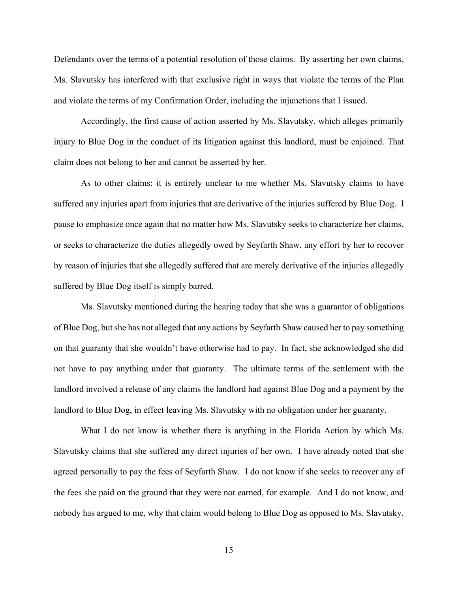Defendants over the terms of a potential resolution of those claims. By asserting her own claims, Ms. Slavutsky has interfered with that exclusive right in ways that violate the terms of the Plan and violate the terms of my Confirmation Order, including the injunctions that I issued.

Accordingly, the first cause of action asserted by Ms. Slavutsky, which alleges primarily injury to Blue Dog in the conduct of its litigation against this landlord, must be enjoined. That claim does not belong to her and cannot be asserted by her.

As to other claims: it is entirely unclear to me whether Ms. Slavutsky claims to have suffered any injuries apart from injuries that are derivative of the injuries suffered by Blue Dog. I pause to emphasize once again that no matter how Ms. Slavutsky seeks to characterize her claims, or seeks to characterize the duties allegedly owed by Seyfarth Shaw, any effort by her to recover by reason of injuries that she allegedly suffered that are merely derivative of the injuries allegedly suffered by Blue Dog itself is simply barred.

Ms. Slavutsky mentioned during the hearing today that she was a guarantor of obligations of Blue Dog, but she has not alleged that any actions by Seyfarth Shaw caused her to pay something on that guaranty that she wouldn't have otherwise had to pay. In fact, she acknowledged she did not have to pay anything under that guaranty. The ultimate terms of the settlement with the landlord involved a release of any claims the landlord had against Blue Dog and a payment by the landlord to Blue Dog, in effect leaving Ms. Slavutsky with no obligation under her guaranty.

What I do not know is whether there is anything in the Florida Action by which Ms. Slavutsky claims that she suffered any direct injuries of her own. I have already noted that she agreed personally to pay the fees of Seyfarth Shaw. I do not know if she seeks to recover any of the fees she paid on the ground that they were not earned, for example. And I do not know, and nobody has argued to me, why that claim would belong to Blue Dog as opposed to Ms. Slavutsky.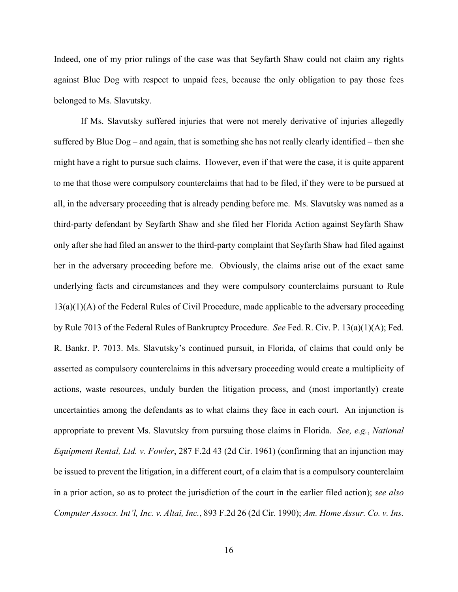Indeed, one of my prior rulings of the case was that Seyfarth Shaw could not claim any rights against Blue Dog with respect to unpaid fees, because the only obligation to pay those fees belonged to Ms. Slavutsky.

If Ms. Slavutsky suffered injuries that were not merely derivative of injuries allegedly suffered by Blue Dog – and again, that is something she has not really clearly identified – then she might have a right to pursue such claims. However, even if that were the case, it is quite apparent to me that those were compulsory counterclaims that had to be filed, if they were to be pursued at all, in the adversary proceeding that is already pending before me. Ms. Slavutsky was named as a third-party defendant by Seyfarth Shaw and she filed her Florida Action against Seyfarth Shaw only after she had filed an answer to the third-party complaint that Seyfarth Shaw had filed against her in the adversary proceeding before me. Obviously, the claims arise out of the exact same underlying facts and circumstances and they were compulsory counterclaims pursuant to Rule  $13(a)(1)(A)$  of the Federal Rules of Civil Procedure, made applicable to the adversary proceeding by Rule 7013 of the Federal Rules of Bankruptcy Procedure. *See* Fed. R. Civ. P. 13(a)(1)(A); Fed. R. Bankr. P. 7013. Ms. Slavutsky's continued pursuit, in Florida, of claims that could only be asserted as compulsory counterclaims in this adversary proceeding would create a multiplicity of actions, waste resources, unduly burden the litigation process, and (most importantly) create uncertainties among the defendants as to what claims they face in each court. An injunction is appropriate to prevent Ms. Slavutsky from pursuing those claims in Florida. *See, e.g.*, *National Equipment Rental, Ltd. v. Fowler*, 287 F.2d 43 (2d Cir. 1961) (confirming that an injunction may be issued to prevent the litigation, in a different court, of a claim that is a compulsory counterclaim in a prior action, so as to protect the jurisdiction of the court in the earlier filed action); *see also Computer Assocs. Int'l, Inc. v. Altai, Inc.*, 893 F.2d 26 (2d Cir. 1990); *Am. Home Assur. Co. v. Ins.*